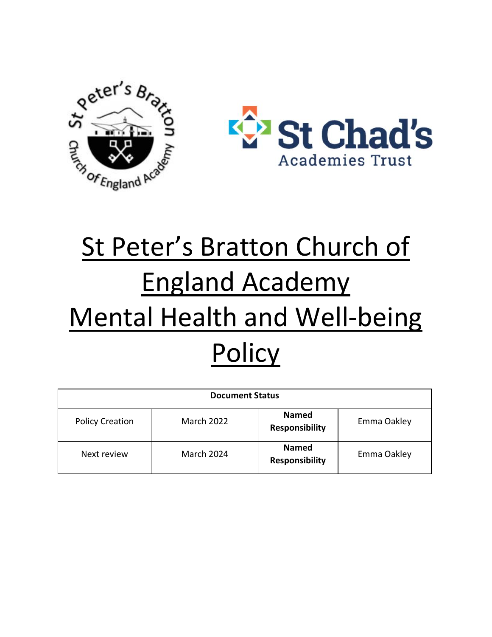



# St Peter's Bratton Church of England Academy Mental Health and Well-being **Policy**

| <b>Document Status</b> |                   |                                       |             |
|------------------------|-------------------|---------------------------------------|-------------|
| <b>Policy Creation</b> | <b>March 2022</b> | <b>Named</b><br><b>Responsibility</b> | Emma Oakley |
| Next review            | <b>March 2024</b> | <b>Named</b><br><b>Responsibility</b> | Emma Oakley |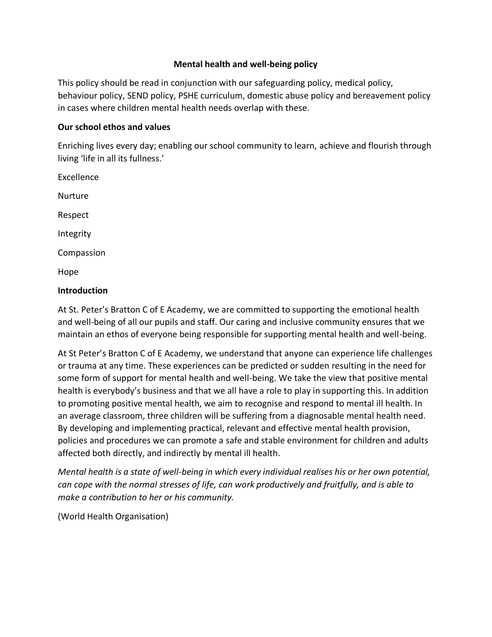#### **Mental health and well-being policy**

This policy should be read in conjunction with our safeguarding policy, medical policy, behaviour policy, SEND policy, PSHE curriculum, domestic abuse policy and bereavement policy in cases where children mental health needs overlap with these.

#### **Our school ethos and values**

Enriching lives every day; enabling our school community to learn, achieve and flourish through living 'life in all its fullness.'

Excellence Nurture Respect Integrity Compassion Hope

#### **Introduction**

At St. Peter's Bratton C of E Academy, we are committed to supporting the emotional health and well-being of all our pupils and staff. Our caring and inclusive community ensures that we maintain an ethos of everyone being responsible for supporting mental health and well-being.

At St Peter's Bratton C of E Academy, we understand that anyone can experience life challenges or trauma at any time. These experiences can be predicted or sudden resulting in the need for some form of support for mental health and well-being. We take the view that positive mental health is everybody's business and that we all have a role to play in supporting this. In addition to promoting positive mental health, we aim to recognise and respond to mental ill health. In an average classroom, three children will be suffering from a diagnosable mental health need. By developing and implementing practical, relevant and effective mental health provision, policies and procedures we can promote a safe and stable environment for children and adults affected both directly, and indirectly by mental ill health.

*Mental health is a state of well-being in which every individual realises his or her own potential, can cope with the normal stresses of life, can work productively and fruitfully, and is able to make a contribution to her or his community.* 

(World Health Organisation)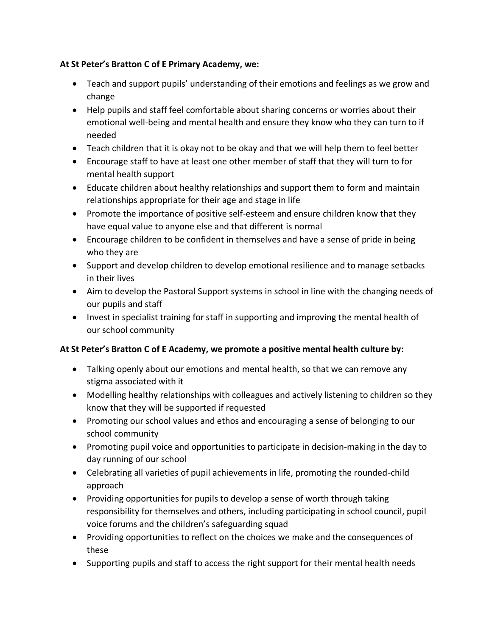## **At St Peter's Bratton C of E Primary Academy, we:**

- Teach and support pupils' understanding of their emotions and feelings as we grow and change
- Help pupils and staff feel comfortable about sharing concerns or worries about their emotional well-being and mental health and ensure they know who they can turn to if needed
- Teach children that it is okay not to be okay and that we will help them to feel better
- Encourage staff to have at least one other member of staff that they will turn to for mental health support
- Educate children about healthy relationships and support them to form and maintain relationships appropriate for their age and stage in life
- Promote the importance of positive self-esteem and ensure children know that they have equal value to anyone else and that different is normal
- Encourage children to be confident in themselves and have a sense of pride in being who they are
- Support and develop children to develop emotional resilience and to manage setbacks in their lives
- Aim to develop the Pastoral Support systems in school in line with the changing needs of our pupils and staff
- Invest in specialist training for staff in supporting and improving the mental health of our school community

# **At St Peter's Bratton C of E Academy, we promote a positive mental health culture by:**

- Talking openly about our emotions and mental health, so that we can remove any stigma associated with it
- Modelling healthy relationships with colleagues and actively listening to children so they know that they will be supported if requested
- Promoting our school values and ethos and encouraging a sense of belonging to our school community
- Promoting pupil voice and opportunities to participate in decision-making in the day to day running of our school
- Celebrating all varieties of pupil achievements in life, promoting the rounded-child approach
- Providing opportunities for pupils to develop a sense of worth through taking responsibility for themselves and others, including participating in school council, pupil voice forums and the children's safeguarding squad
- Providing opportunities to reflect on the choices we make and the consequences of these
- Supporting pupils and staff to access the right support for their mental health needs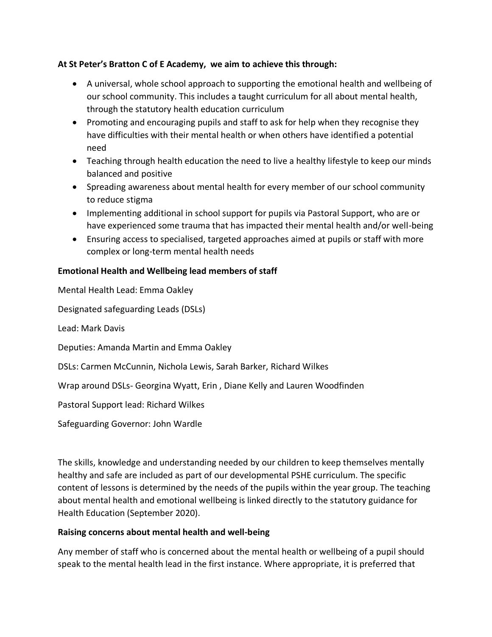## **At St Peter's Bratton C of E Academy, we aim to achieve this through:**

- A universal, whole school approach to supporting the emotional health and wellbeing of our school community. This includes a taught curriculum for all about mental health, through the statutory health education curriculum
- Promoting and encouraging pupils and staff to ask for help when they recognise they have difficulties with their mental health or when others have identified a potential need
- Teaching through health education the need to live a healthy lifestyle to keep our minds balanced and positive
- Spreading awareness about mental health for every member of our school community to reduce stigma
- Implementing additional in school support for pupils via Pastoral Support, who are or have experienced some trauma that has impacted their mental health and/or well-being
- Ensuring access to specialised, targeted approaches aimed at pupils or staff with more complex or long-term mental health needs

## **Emotional Health and Wellbeing lead members of staff**

| Mental Health Lead: Emma Oakley                                           |
|---------------------------------------------------------------------------|
| Designated safeguarding Leads (DSLs)                                      |
| Lead: Mark Davis                                                          |
| Deputies: Amanda Martin and Emma Oakley                                   |
| DSLs: Carmen McCunnin, Nichola Lewis, Sarah Barker, Richard Wilkes        |
| Wrap around DSLs- Georgina Wyatt, Erin, Diane Kelly and Lauren Woodfinden |
| Pastoral Support lead: Richard Wilkes                                     |
| Safeguarding Governor: John Wardle                                        |
|                                                                           |

The skills, knowledge and understanding needed by our children to keep themselves mentally healthy and safe are included as part of our developmental PSHE curriculum. The specific content of lessons is determined by the needs of the pupils within the year group. The teaching about mental health and emotional wellbeing is linked directly to the statutory guidance for Health Education (September 2020).

## **Raising concerns about mental health and well-being**

Any member of staff who is concerned about the mental health or wellbeing of a pupil should speak to the mental health lead in the first instance. Where appropriate, it is preferred that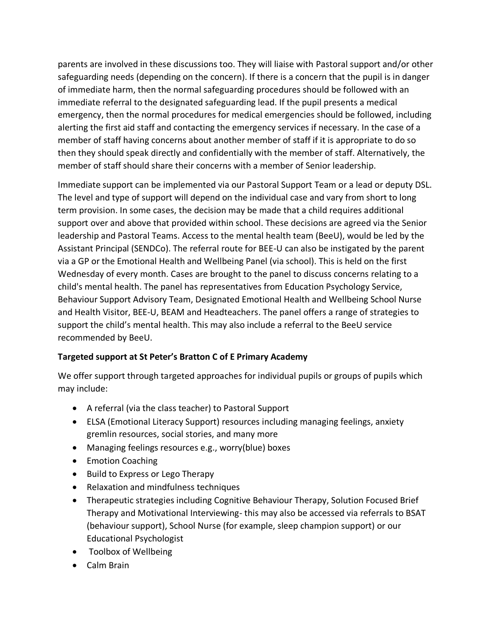parents are involved in these discussions too. They will liaise with Pastoral support and/or other safeguarding needs (depending on the concern). If there is a concern that the pupil is in danger of immediate harm, then the normal safeguarding procedures should be followed with an immediate referral to the designated safeguarding lead. If the pupil presents a medical emergency, then the normal procedures for medical emergencies should be followed, including alerting the first aid staff and contacting the emergency services if necessary. In the case of a member of staff having concerns about another member of staff if it is appropriate to do so then they should speak directly and confidentially with the member of staff. Alternatively, the member of staff should share their concerns with a member of Senior leadership.

Immediate support can be implemented via our Pastoral Support Team or a lead or deputy DSL. The level and type of support will depend on the individual case and vary from short to long term provision. In some cases, the decision may be made that a child requires additional support over and above that provided within school. These decisions are agreed via the Senior leadership and Pastoral Teams. Access to the mental health team (BeeU), would be led by the Assistant Principal (SENDCo). The referral route for BEE-U can also be instigated by the parent via a GP or the Emotional Health and Wellbeing Panel (via school). This is held on the first Wednesday of every month. Cases are brought to the panel to discuss concerns relating to a child's mental health. The panel has representatives from Education Psychology Service, Behaviour Support Advisory Team, Designated Emotional Health and Wellbeing School Nurse and Health Visitor, BEE-U, BEAM and Headteachers. The panel offers a range of strategies to support the child's mental health. This may also include a referral to the BeeU service recommended by BeeU.

# **Targeted support at St Peter's Bratton C of E Primary Academy**

We offer support through targeted approaches for individual pupils or groups of pupils which may include:

- A referral (via the class teacher) to Pastoral Support
- ELSA (Emotional Literacy Support) resources including managing feelings, anxiety gremlin resources, social stories, and many more
- Managing feelings resources e.g., worry(blue) boxes
- Emotion Coaching
- Build to Express or Lego Therapy
- Relaxation and mindfulness techniques
- Therapeutic strategies including Cognitive Behaviour Therapy, Solution Focused Brief Therapy and Motivational Interviewing- this may also be accessed via referrals to BSAT (behaviour support), School Nurse (for example, sleep champion support) or our Educational Psychologist
- Toolbox of Wellbeing
- Calm Brain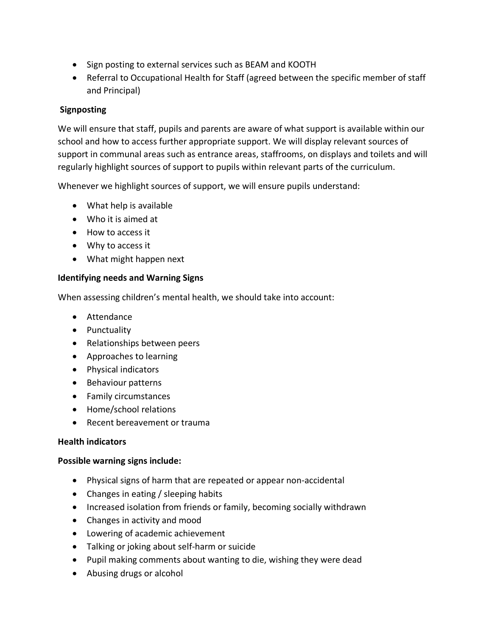- Sign posting to external services such as BEAM and KOOTH
- Referral to Occupational Health for Staff (agreed between the specific member of staff and Principal)

## **Signposting**

We will ensure that staff, pupils and parents are aware of what support is available within our school and how to access further appropriate support. We will display relevant sources of support in communal areas such as entrance areas, staffrooms, on displays and toilets and will regularly highlight sources of support to pupils within relevant parts of the curriculum.

Whenever we highlight sources of support, we will ensure pupils understand:

- What help is available
- Who it is aimed at
- How to access it
- Why to access it
- What might happen next

## **Identifying needs and Warning Signs**

When assessing children's mental health, we should take into account:

- Attendance
- Punctuality
- Relationships between peers
- Approaches to learning
- Physical indicators
- Behaviour patterns
- Family circumstances
- Home/school relations
- Recent bereavement or trauma

## **Health indicators**

## **Possible warning signs include:**

- Physical signs of harm that are repeated or appear non-accidental
- Changes in eating / sleeping habits
- Increased isolation from friends or family, becoming socially withdrawn
- Changes in activity and mood
- Lowering of academic achievement
- Talking or joking about self-harm or suicide
- Pupil making comments about wanting to die, wishing they were dead
- Abusing drugs or alcohol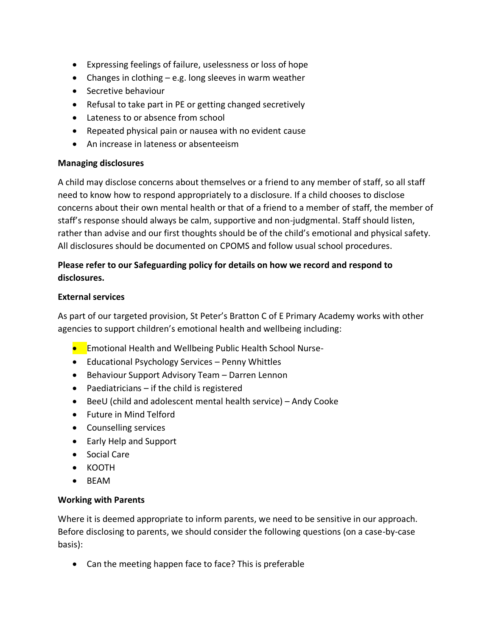- Expressing feelings of failure, uselessness or loss of hope
- Changes in clothing e.g. long sleeves in warm weather
- Secretive behaviour
- Refusal to take part in PE or getting changed secretively
- Lateness to or absence from school
- Repeated physical pain or nausea with no evident cause
- An increase in lateness or absenteeism

#### **Managing disclosures**

A child may disclose concerns about themselves or a friend to any member of staff, so all staff need to know how to respond appropriately to a disclosure. If a child chooses to disclose concerns about their own mental health or that of a friend to a member of staff, the member of staff's response should always be calm, supportive and non-judgmental. Staff should listen, rather than advise and our first thoughts should be of the child's emotional and physical safety. All disclosures should be documented on CPOMS and follow usual school procedures.

# **Please refer to our Safeguarding policy for details on how we record and respond to disclosures.**

#### **External services**

As part of our targeted provision, St Peter's Bratton C of E Primary Academy works with other agencies to support children's emotional health and wellbeing including:

- **•** Emotional Health and Wellbeing Public Health School Nurse-
- Educational Psychology Services Penny Whittles
- Behaviour Support Advisory Team Darren Lennon
- Paediatricians if the child is registered
- BeeU (child and adolescent mental health service) Andy Cooke
- Future in Mind Telford
- Counselling services
- Early Help and Support
- Social Care
- KOOTH
- BEAM

## **Working with Parents**

Where it is deemed appropriate to inform parents, we need to be sensitive in our approach. Before disclosing to parents, we should consider the following questions (on a case-by-case basis):

• Can the meeting happen face to face? This is preferable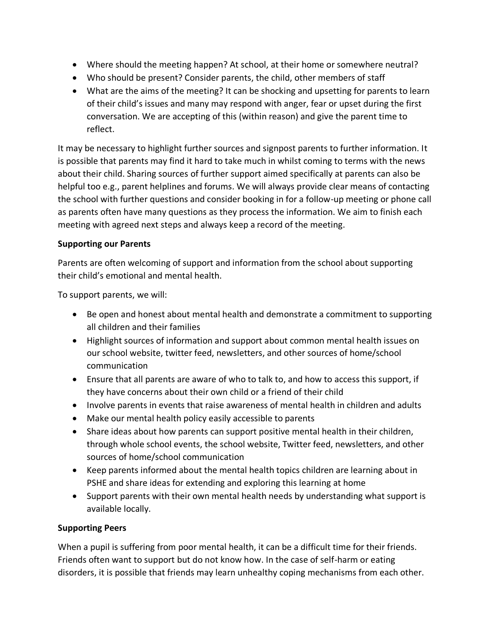- Where should the meeting happen? At school, at their home or somewhere neutral?
- Who should be present? Consider parents, the child, other members of staff
- What are the aims of the meeting? It can be shocking and upsetting for parents to learn of their child's issues and many may respond with anger, fear or upset during the first conversation. We are accepting of this (within reason) and give the parent time to reflect.

It may be necessary to highlight further sources and signpost parents to further information. It is possible that parents may find it hard to take much in whilst coming to terms with the news about their child. Sharing sources of further support aimed specifically at parents can also be helpful too e.g., parent helplines and forums. We will always provide clear means of contacting the school with further questions and consider booking in for a follow-up meeting or phone call as parents often have many questions as they process the information. We aim to finish each meeting with agreed next steps and always keep a record of the meeting.

## **Supporting our Parents**

Parents are often welcoming of support and information from the school about supporting their child's emotional and mental health.

To support parents, we will:

- Be open and honest about mental health and demonstrate a commitment to supporting all children and their families
- Highlight sources of information and support about common mental health issues on our school website, twitter feed, newsletters, and other sources of home/school communication
- Ensure that all parents are aware of who to talk to, and how to access this support, if they have concerns about their own child or a friend of their child
- Involve parents in events that raise awareness of mental health in children and adults
- Make our mental health policy easily accessible to parents
- Share ideas about how parents can support positive mental health in their children, through whole school events, the school website, Twitter feed, newsletters, and other sources of home/school communication
- Keep parents informed about the mental health topics children are learning about in PSHE and share ideas for extending and exploring this learning at home
- Support parents with their own mental health needs by understanding what support is available locally.

## **Supporting Peers**

When a pupil is suffering from poor mental health, it can be a difficult time for their friends. Friends often want to support but do not know how. In the case of self-harm or eating disorders, it is possible that friends may learn unhealthy coping mechanisms from each other.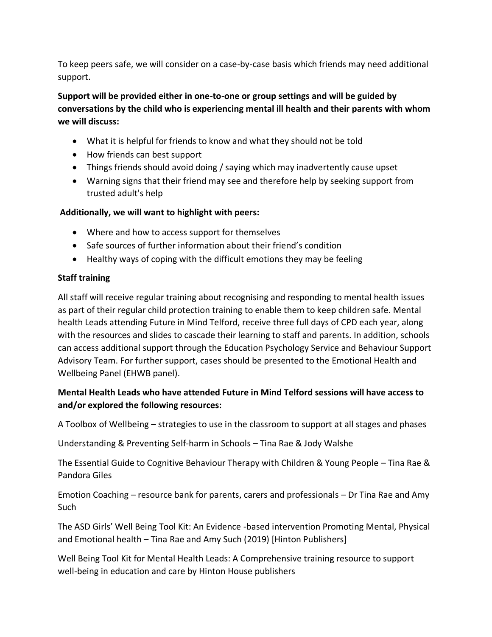To keep peers safe, we will consider on a case-by-case basis which friends may need additional support.

**Support will be provided either in one-to-one or group settings and will be guided by conversations by the child who is experiencing mental ill health and their parents with whom we will discuss:** 

- What it is helpful for friends to know and what they should not be told
- How friends can best support
- Things friends should avoid doing / saying which may inadvertently cause upset
- Warning signs that their friend may see and therefore help by seeking support from trusted adult's help

## **Additionally, we will want to highlight with peers:**

- Where and how to access support for themselves
- Safe sources of further information about their friend's condition
- Healthy ways of coping with the difficult emotions they may be feeling

# **Staff training**

All staff will receive regular training about recognising and responding to mental health issues as part of their regular child protection training to enable them to keep children safe. Mental health Leads attending Future in Mind Telford, receive three full days of CPD each year, along with the resources and slides to cascade their learning to staff and parents. In addition, schools can access additional support through the Education Psychology Service and Behaviour Support Advisory Team. For further support, cases should be presented to the Emotional Health and Wellbeing Panel (EHWB panel).

# **Mental Health Leads who have attended Future in Mind Telford sessions will have access to and/or explored the following resources:**

A Toolbox of Wellbeing – strategies to use in the classroom to support at all stages and phases

Understanding & Preventing Self-harm in Schools – Tina Rae & Jody Walshe

The Essential Guide to Cognitive Behaviour Therapy with Children & Young People – Tina Rae & Pandora Giles

Emotion Coaching – resource bank for parents, carers and professionals – Dr Tina Rae and Amy Such

The ASD Girls' Well Being Tool Kit: An Evidence -based intervention Promoting Mental, Physical and Emotional health – Tina Rae and Amy Such (2019) [Hinton Publishers]

Well Being Tool Kit for Mental Health Leads: A Comprehensive training resource to support well-being in education and care by Hinton House publishers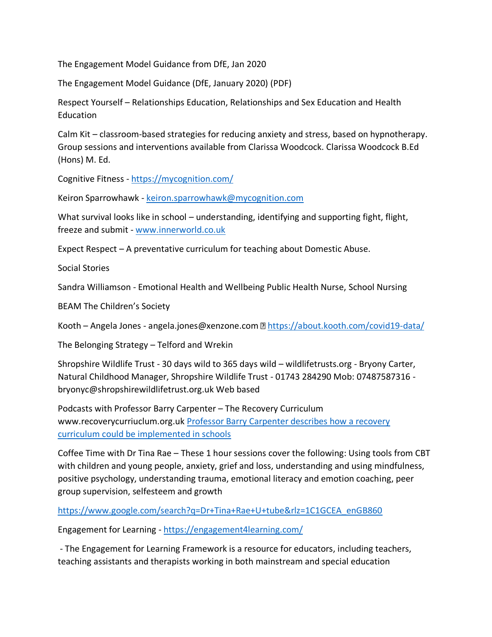The Engagement Model Guidance from DfE, Jan 2020

The Engagement Model Guidance (DfE, January 2020) (PDF)

Respect Yourself – Relationships Education, Relationships and Sex Education and Health Education

Calm Kit – classroom-based strategies for reducing anxiety and stress, based on hypnotherapy. Group sessions and interventions available from Clarissa Woodcock. Clarissa Woodcock B.Ed (Hons) M. Ed.

Cognitive Fitness - <https://mycognition.com/>

Keiron Sparrowhawk - [keiron.sparrowhawk@mycognition.com](mailto:keiron.sparrowhawk@mycognition.com)

What survival looks like in school – understanding, identifying and supporting fight, flight, freeze and submit - [www.innerworld.co.uk](http://www.innerworld.co.uk/)

Expect Respect – A preventative curriculum for teaching about Domestic Abuse.

Social Stories

Sandra Williamson - Emotional Health and Wellbeing Public Health Nurse, School Nursing

BEAM The Children's Society

Kooth – Angela Jones - angela.jones@xenzone.com **<https://about.kooth.com/covid19-data/>** 

The Belonging Strategy – Telford and Wrekin

Shropshire Wildlife Trust - 30 days wild to 365 days wild – wildlifetrusts.org - Bryony Carter, Natural Childhood Manager, Shropshire Wildlife Trust - 01743 284290 Mob: 07487587316 bryonyc@shropshirewildlifetrust.org.uk Web based

Podcasts with Professor Barry Carpenter – The Recovery Curriculum www.recoverycurriuclum.org.uk [Professor Barry Carpenter describes how a recovery](https://www.youtube.com/watch?v=IkAkGIQtDwE&feature=share)  [curriculum could be implemented in schools](https://www.youtube.com/watch?v=IkAkGIQtDwE&feature=share)

Coffee Time with Dr Tina Rae – These 1 hour sessions cover the following: Using tools from CBT with children and young people, anxiety, grief and loss, understanding and using mindfulness, positive psychology, understanding trauma, emotional literacy and emotion coaching, peer group supervision, selfesteem and growth

[https://www.google.com/search?q=Dr+Tina+Rae+U+tube&rlz=1C1GCEA\\_enGB860](https://www.google.com/search?q=Dr+Tina+Rae+U+tube&rlz=1C1GCEA_enGB860)

Engagement for Learning - <https://engagement4learning.com/>

- The Engagement for Learning Framework is a resource for educators, including teachers, teaching assistants and therapists working in both mainstream and special education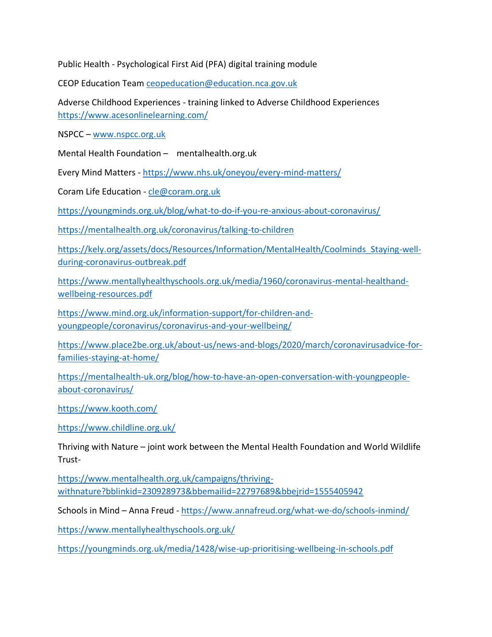Public Health - Psychological First Aid (PFA) digital training module

CEOP Education Team [ceopeducation@education.nca.gov.uk](mailto:ceopeducation@education.nca.gov.uk)

Adverse Childhood Experiences - training linked to Adverse Childhood Experiences <https://www.acesonlinelearning.com/>

NSPCC – [www.nspcc.org.uk](http://www.nspcc.org.uk/)

Mental Health Foundation – mentalhealth.org.uk

Every Mind Matters - <https://www.nhs.uk/oneyou/every-mind-matters/>

Coram Life Education - [cle@coram.org.uk](mailto:cle@coram.org.uk)

<https://youngminds.org.uk/blog/what-to-do-if-you-re-anxious-about-coronavirus/>

<https://mentalhealth.org.uk/coronavirus/talking-to-children>

[https://kely.org/assets/docs/Resources/Information/MentalHealth/Coolminds\\_Staying-well](https://kely.org/assets/docs/Resources/Information/MentalHealth/Coolminds_Staying-well-during-coronavirus-outbreak.pdf)[during-coronavirus-outbreak.pdf](https://kely.org/assets/docs/Resources/Information/MentalHealth/Coolminds_Staying-well-during-coronavirus-outbreak.pdf)

[https://www.mentallyhealthyschools.org.uk/media/1960/coronavirus-mental-healthand](https://www.mentallyhealthyschools.org.uk/media/1960/coronavirus-mental-healthand-wellbeing-resources.pdf)[wellbeing-resources.pdf](https://www.mentallyhealthyschools.org.uk/media/1960/coronavirus-mental-healthand-wellbeing-resources.pdf)

[https://www.mind.org.uk/information-support/for-children-and](https://www.mind.org.uk/information-support/for-children-and-youngpeople/coronavirus/coronavirus-and-your-wellbeing/)[youngpeople/coronavirus/coronavirus-and-your-wellbeing/](https://www.mind.org.uk/information-support/for-children-and-youngpeople/coronavirus/coronavirus-and-your-wellbeing/)

[https://www.place2be.org.uk/about-us/news-and-blogs/2020/march/coronavirusadvice-for](https://www.place2be.org.uk/about-us/news-and-blogs/2020/march/coronavirusadvice-for-families-staying-at-home/)[families-staying-at-home/](https://www.place2be.org.uk/about-us/news-and-blogs/2020/march/coronavirusadvice-for-families-staying-at-home/)

[https://mentalhealth-uk.org/blog/how-to-have-an-open-conversation-with-youngpeople](https://mentalhealth-uk.org/blog/how-to-have-an-open-conversation-with-youngpeople-about-coronavirus/)[about-coronavirus/](https://mentalhealth-uk.org/blog/how-to-have-an-open-conversation-with-youngpeople-about-coronavirus/)

<https://www.kooth.com/>

<https://www.childline.org.uk/>

Thriving with Nature – joint work between the Mental Health Foundation and World Wildlife Trust-

[https://www.mentalhealth.org.uk/campaigns/thriving](https://www.mentalhealth.org.uk/campaigns/thriving-withnature?bblinkid=230928973&bbemailid=22797689&bbejrid=1555405942)[withnature?bblinkid=230928973&bbemailid=22797689&bbejrid=1555405942](https://www.mentalhealth.org.uk/campaigns/thriving-withnature?bblinkid=230928973&bbemailid=22797689&bbejrid=1555405942)

Schools in Mind - Anna Freud - <https://www.annafreud.org/what-we-do/schools-inmind/>

<https://www.mentallyhealthyschools.org.uk/>

<https://youngminds.org.uk/media/1428/wise-up-prioritising-wellbeing-in-schools.pdf>